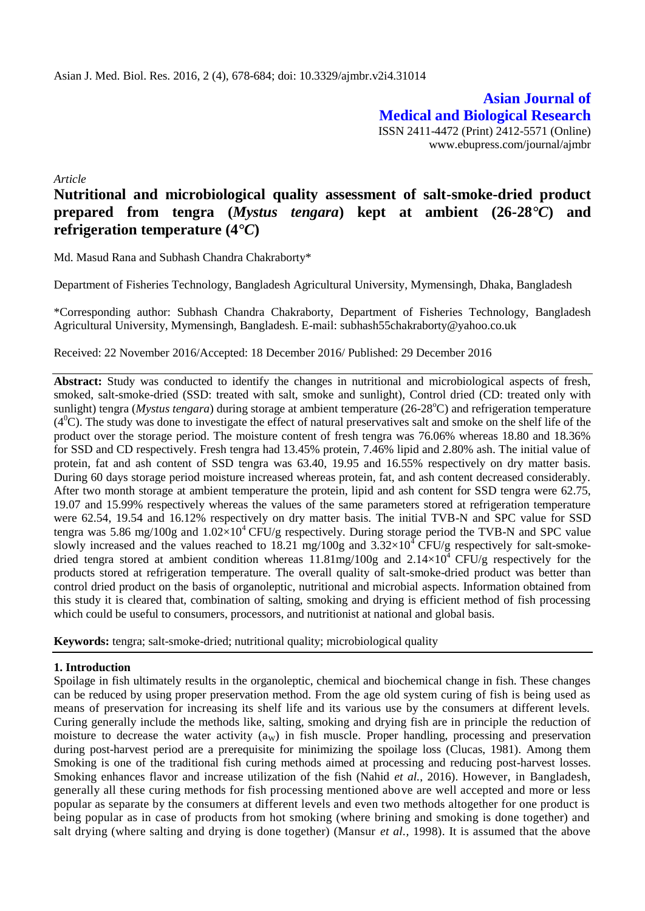**Asian Journal of Medical and Biological Research** ISSN 2411-4472 (Print) 2412-5571 (Online) www.ebupress.com/journal/ajmbr

*Article*

# **Nutritional and microbiological quality assessment of salt-smoke-dried product prepared from tengra (***Mystus tengara***) kept at ambient (26-28***°C***) and refrigeration temperature (4***°C***)**

Md. Masud Rana and Subhash Chandra Chakraborty\*

Department of Fisheries Technology, Bangladesh Agricultural University, Mymensingh, Dhaka, Bangladesh

\*Corresponding author: Subhash Chandra Chakraborty, Department of Fisheries Technology, Bangladesh Agricultural University, Mymensingh, Bangladesh. E-mail: subhash55chakraborty@yahoo.co.uk

Received: 22 November 2016/Accepted: 18 December 2016/ Published: 29 December 2016

**Abstract:** Study was conducted to identify the changes in nutritional and microbiological aspects of fresh, smoked, salt-smoke-dried (SSD: treated with salt, smoke and sunlight), Control dried (CD: treated only with sunlight) tengra (*Mystus tengara*) during storage at ambient temperature (26-28<sup>o</sup>C) and refrigeration temperature  $(4<sup>0</sup>C)$ . The study was done to investigate the effect of natural preservatives salt and smoke on the shelf life of the product over the storage period. The moisture content of fresh tengra was 76.06% whereas 18.80 and 18.36% for SSD and CD respectively. Fresh tengra had 13.45% protein, 7.46% lipid and 2.80% ash. The initial value of protein, fat and ash content of SSD tengra was 63.40, 19.95 and 16.55% respectively on dry matter basis. During 60 days storage period moisture increased whereas protein, fat, and ash content decreased considerably. After two month storage at ambient temperature the protein, lipid and ash content for SSD tengra were 62.75, 19.07 and 15.99% respectively whereas the values of the same parameters stored at refrigeration temperature were 62.54, 19.54 and 16.12% respectively on dry matter basis. The initial TVB-N and SPC value for SSD tengra was 5.86 mg/100g and  $1.02\times10^4$  CFU/g respectively. During storage period the TVB-N and SPC value slowly increased and the values reached to 18.21 mg/100g and  $3.32\times10^4$  CFU/g respectively for salt-smokedried tengra stored at ambient condition whereas  $11.81$ mg/100g and  $2.14 \times 10^4$  CFU/g respectively for the products stored at refrigeration temperature. The overall quality of salt-smoke-dried product was better than control dried product on the basis of organoleptic, nutritional and microbial aspects. Information obtained from this study it is cleared that, combination of salting, smoking and drying is efficient method of fish processing which could be useful to consumers, processors, and nutritionist at national and global basis.

**Keywords:** tengra; salt-smoke-dried; nutritional quality; microbiological quality

# **1. Introduction**

Spoilage in fish ultimately results in the organoleptic, chemical and biochemical change in fish. These changes can be reduced by using proper preservation method. From the age old system curing of fish is being used as means of preservation for increasing its shelf life and its various use by the consumers at different levels. Curing generally include the methods like, salting, smoking and drying fish are in principle the reduction of moisture to decrease the water activity  $(a<sub>W</sub>)$  in fish muscle. Proper handling, processing and preservation during post-harvest period are a prerequisite for minimizing the spoilage loss (Clucas, 1981). Among them Smoking is one of the traditional fish curing methods aimed at processing and reducing post-harvest losses. Smoking enhances flavor and increase utilization of the fish (Nahid *et al.*, 2016). However, in Bangladesh, generally all these curing methods for fish processing mentioned above are well accepted and more or less popular as separate by the consumers at different levels and even two methods altogether for one product is being popular as in case of products from hot smoking (where brining and smoking is done together) and salt drying (where salting and drying is done together) (Mansur *et al.,* 1998). It is assumed that the above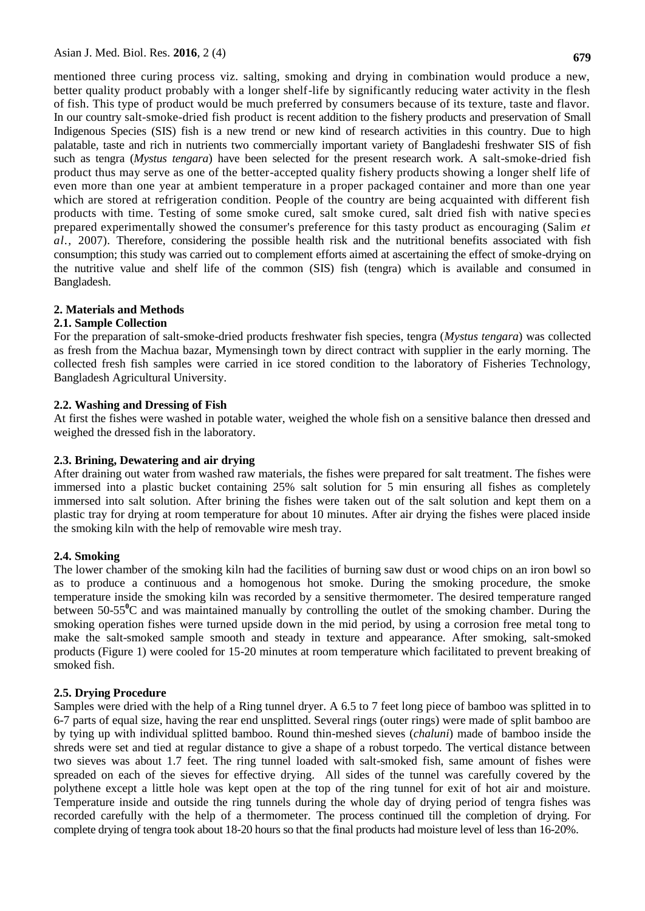mentioned three curing process viz. salting, smoking and drying in combination would produce a new, better quality product probably with a longer shelf-life by significantly reducing water activity in the flesh of fish. This type of product would be much preferred by consumers because of its texture, taste and flavor. In our country salt-smoke-dried fish product is recent addition to the fishery products and preservation of Small Indigenous Species (SIS) fish is a new trend or new kind of research activities in this country. Due to high palatable, taste and rich in nutrients two commercially important variety of Bangladeshi freshwater SIS of fish such as tengra (*Mystus tengara*) have been selected for the present research work. A salt-smoke-dried fish product thus may serve as one of the better-accepted quality fishery products showing a longer shelf life of even more than one year at ambient temperature in a proper packaged container and more than one year which are stored at refrigeration condition. People of the country are being acquainted with different fish products with time. Testing of some smoke cured, salt smoke cured, salt dried fish with native species prepared experimentally showed the consumer's preference for this tasty product as encouraging (Salim *et al.,* 2007). Therefore, considering the possible health risk and the nutritional benefits associated with fish consumption; this study was carried out to complement efforts aimed at ascertaining the effect of smoke-drying on the nutritive value and shelf life of the common (SIS) fish (tengra) which is available and consumed in Bangladesh.

# **2. Materials and Methods**

### **2.1. Sample Collection**

For the preparation of salt-smoke-dried products freshwater fish species, tengra (*Mystus tengara*) was collected as fresh from the Machua bazar, Mymensingh town by direct contract with supplier in the early morning. The collected fresh fish samples were carried in ice stored condition to the laboratory of Fisheries Technology, Bangladesh Agricultural University.

### **2.2. Washing and Dressing of Fish**

At first the fishes were washed in potable water, weighed the whole fish on a sensitive balance then dressed and weighed the dressed fish in the laboratory.

#### **2.3. Brining, Dewatering and air drying**

After draining out water from washed raw materials, the fishes were prepared for salt treatment. The fishes were immersed into a plastic bucket containing 25% salt solution for 5 min ensuring all fishes as completely immersed into salt solution. After brining the fishes were taken out of the salt solution and kept them on a plastic tray for drying at room temperature for about 10 minutes. After air drying the fishes were placed inside the smoking kiln with the help of removable wire mesh tray.

#### **2.4. Smoking**

The lower chamber of the smoking kiln had the facilities of burning saw dust or wood chips on an iron bowl so as to produce a continuous and a homogenous hot smoke. During the smoking procedure, the smoke temperature inside the smoking kiln was recorded by a sensitive thermometer. The desired temperature ranged between 50-55**<sup>0</sup>**C and was maintained manually by controlling the outlet of the smoking chamber. During the smoking operation fishes were turned upside down in the mid period, by using a corrosion free metal tong to make the salt-smoked sample smooth and steady in texture and appearance. After smoking, salt-smoked products (Figure 1) were cooled for 15-20 minutes at room temperature which facilitated to prevent breaking of smoked fish.

# **2.5. Drying Procedure**

Samples were dried with the help of a Ring tunnel dryer. A 6.5 to 7 feet long piece of bamboo was splitted in to 6-7 parts of equal size, having the rear end unsplitted. Several rings (outer rings) were made of split bamboo are by tying up with individual splitted bamboo. Round thin-meshed sieves (*chaluni*) made of bamboo inside the shreds were set and tied at regular distance to give a shape of a robust torpedo. The vertical distance between two sieves was about 1.7 feet. The ring tunnel loaded with salt-smoked fish, same amount of fishes were spreaded on each of the sieves for effective drying. All sides of the tunnel was carefully covered by the polythene except a little hole was kept open at the top of the ring tunnel for exit of hot air and moisture. Temperature inside and outside the ring tunnels during the whole day of drying period of tengra fishes was recorded carefully with the help of a thermometer. The process continued till the completion of drying. For complete drying of tengra took about 18-20 hours so that the final products had moisture level of less than 16-20%.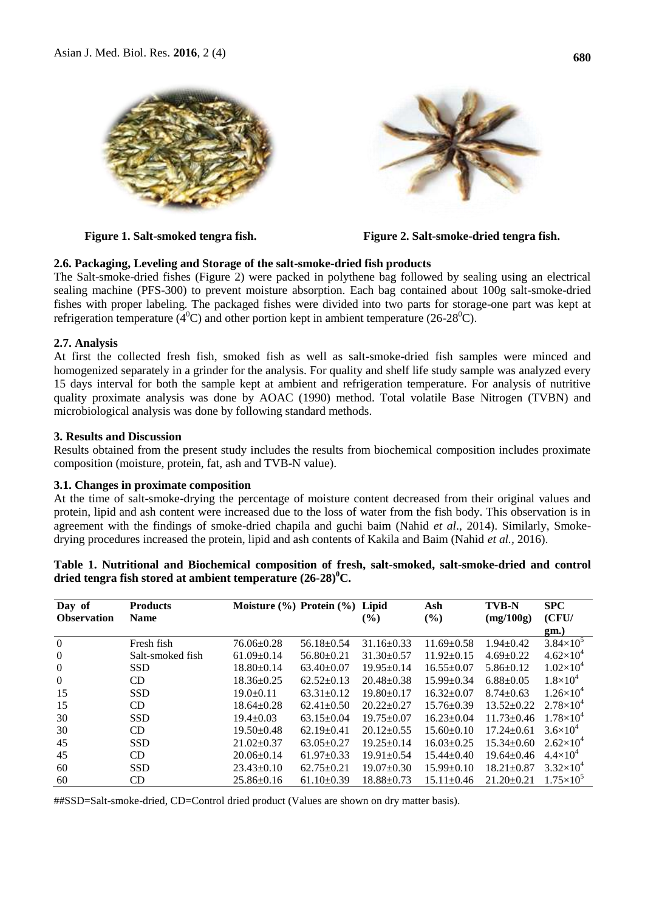



**Figure 1. Salt-smoked tengra fish. Figure 2. Salt-smoke-dried tengra fish.**

# **2.6. Packaging, Leveling and Storage of the salt-smoke-dried fish products**

The Salt-smoke-dried fishes (Figure 2) were packed in polythene bag followed by sealing using an electrical sealing machine (PFS-300) to prevent moisture absorption. Each bag contained about 100g salt-smoke-dried fishes with proper labeling. The packaged fishes were divided into two parts for storage-one part was kept at refrigeration temperature ( $4^0$ C) and other portion kept in ambient temperature (26-28<sup>o</sup>C).

# **2.7. Analysis**

At first the collected fresh fish, smoked fish as well as salt-smoke-dried fish samples were minced and homogenized separately in a grinder for the analysis. For quality and shelf life study sample was analyzed every 15 days interval for both the sample kept at ambient and refrigeration temperature. For analysis of nutritive quality proximate analysis was done by AOAC (1990) method. Total volatile Base Nitrogen (TVBN) and microbiological analysis was done by following standard methods.

# **3. Results and Discussion**

Results obtained from the present study includes the results from biochemical composition includes proximate composition (moisture, protein, fat, ash and TVB-N value).

# **3.1. Changes in proximate composition**

At the time of salt-smoke-drying the percentage of moisture content decreased from their original values and protein, lipid and ash content were increased due to the loss of water from the fish body. This observation is in agreement with the findings of smoke-dried chapila and guchi baim (Nahid *et al*., 2014). Similarly, Smokedrying procedures increased the protein, lipid and ash contents of Kakila and Baim (Nahid *et al.,* 2016).

| Day of             | <b>Products</b>  | Moisture $(\% )$ Protein $(\% )$ Lipid |                  |                  | Ash              | <b>TVB-N</b>     | <b>SPC</b>           |
|--------------------|------------------|----------------------------------------|------------------|------------------|------------------|------------------|----------------------|
| <b>Observation</b> | <b>Name</b>      |                                        |                  | $\frac{9}{6}$    | (%)              | (mg/100g)        | (CFU/                |
|                    |                  |                                        |                  |                  |                  |                  | gm.)                 |
| $\theta$           | Fresh fish       | $76.06 \pm 0.28$                       | $56.18 \pm 0.54$ | $31.16 \pm 0.33$ | $11.69 \pm 0.58$ | $1.94 \pm 0.42$  | $3.84\times10^{5}$   |
| $\overline{0}$     | Salt-smoked fish | $61.09 \pm 0.14$                       | $56.80 \pm 0.21$ | $31.30 \pm 0.57$ | $11.92 \pm 0.15$ | $4.69 \pm 0.22$  | $4.62\times10^{4}$   |
| $\overline{0}$     | <b>SSD</b>       | $18.80 \pm 0.14$                       | $63.40 \pm 0.07$ | $19.95 \pm 0.14$ | $16.55 \pm 0.07$ | $5.86 \pm 0.12$  | $1.02\times10^{4}$   |
| $\overline{0}$     | CD               | $18.36 \pm 0.25$                       | $62.52 \pm 0.13$ | $20.48 \pm 0.38$ | $15.99 \pm 0.34$ | $6.88 \pm 0.05$  | $1.8\times10^{4}$    |
| 15                 | <b>SSD</b>       | $19.0 \pm 0.11$                        | $63.31 \pm 0.12$ | $19.80 \pm 0.17$ | $16.32 \pm 0.07$ | $8.74 \pm 0.63$  | $1.26 \times 10^{4}$ |
| 15                 | CD.              | $18.64 \pm 0.28$                       | $62.41 \pm 0.50$ | $20.22+0.27$     | $15.76 \pm 0.39$ | $13.52 \pm 0.22$ | $2.78\times10^{4}$   |
| 30                 | <b>SSD</b>       | $19.4 \pm 0.03$                        | $63.15 \pm 0.04$ | $19.75 \pm 0.07$ | $16.23 \pm 0.04$ | $11.73 \pm 0.46$ | $1.78\times10^{4}$   |
| 30                 | CD               | $19.50 \pm 0.48$                       | $62.19 \pm 0.41$ | $20.12 \pm 0.55$ | $15.60 \pm 0.10$ | $17.24 \pm 0.61$ | $3.6 \times 10^{4}$  |
| 45                 | <b>SSD</b>       | $21.02 \pm 0.37$                       | $63.05 \pm 0.27$ | $19.25 \pm 0.14$ | $16.03 \pm 0.25$ | $15.34 \pm 0.60$ | $2.62\times10^{4}$   |
| 45                 | CD               | $20.06 \pm 0.14$                       | $61.97 \pm 0.33$ | $19.91 \pm 0.54$ | $15.44 \pm 0.40$ | $19.64 \pm 0.46$ | $4.4 \times 10^{4}$  |
| 60                 | <b>SSD</b>       | $23.43 \pm 0.10$                       | $62.75+0.21$     | $19.07+0.30$     | $15.99 \pm 0.10$ | $18.21 \pm 0.87$ | $3.32\times10^{4}$   |
| 60                 | CD               | $25.86 \pm 0.16$                       | $61.10\pm0.39$   | $18.88 \pm 0.73$ | $15.11 \pm 0.46$ | $21.20 \pm 0.21$ | $1.75\times10^{5}$   |

**Table 1. Nutritional and Biochemical composition of fresh, salt-smoked, salt-smoke-dried and control dried tengra fish stored at ambient temperature (26-28)<sup>0</sup>C.**

##SSD=Salt-smoke-dried, CD=Control dried product (Values are shown on dry matter basis).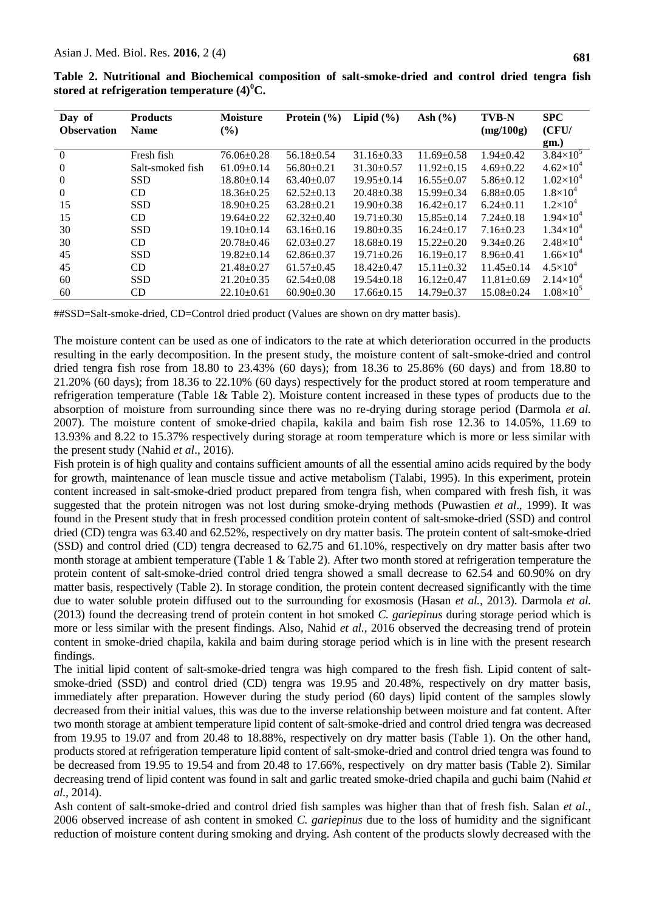**Products Name**

**Day of Observation**

| ıre (4) $^0C$ .           |                               |             |                           |                             |  |
|---------------------------|-------------------------------|-------------|---------------------------|-----------------------------|--|
| <b>Moisture</b><br>$($ %) | Protein $(\% )$ Lipid $(\% )$ | Ash $(\% )$ | <b>TVB-N</b><br>(mg/100g) | <b>SPC</b><br>(CFU/<br>gm.) |  |

|                                                  |  |  |  |  |  |  | Table 2. Nutritional and Biochemical composition of salt-smoke-dried and control dried tengra fish |  |  |  |
|--------------------------------------------------|--|--|--|--|--|--|----------------------------------------------------------------------------------------------------|--|--|--|
| stored at refrigeration temperature $(4)^{0}C$ . |  |  |  |  |  |  |                                                                                                    |  |  |  |

0 Fresh fish  $76.06\pm0.28$   $56.18\pm0.54$   $31.16\pm0.33$   $11.69\pm0.58$   $1.94\pm0.42$   $3.84\times10^{5}$ 0 Salt-smoked fish  $61.09\pm0.14$   $56.80\pm0.21$   $31.30\pm0.57$   $11.92\pm0.15$   $4.69\pm0.22$   $4.62\times10^4$ <br>0 SSD  $18.80\pm0.14$   $63.40\pm0.07$   $19.95\pm0.14$   $16.55\pm0.07$   $5.86\pm0.12$   $1.02\times10^4$ 0 SSD  $18.80 \pm 0.14$   $63.40 \pm 0.07$   $19.95 \pm 0.14$   $16.55 \pm 0.07$   $5.86 \pm 0.12$   $1.02 \times 10^4$ 0 CD  $18.36 \pm 0.25$   $62.52 \pm 0.13$   $20.48 \pm 0.38$   $15.99 \pm 0.34$   $6.88 \pm 0.05$   $1.8 \times 10^4$ 15 SSD 18.90±0.25 63.28±0.21 19.90±0.38 16.42±0.17 6.24±0.11 1.2×10<sup>4</sup> 15 CD 19.64±0.22 62.32±0.40 19.71±0.30 15.85±0.14 7.24±0.18 1.94×10<sup>4</sup> 30 SSD 19.10 $\pm$ 0.14 63.16 $\pm$ 0.16 19.80 $\pm$ 0.35 16.24 $\pm$ 0.17 7.16 $\pm$ 0.23 1.34 $\times$ 10<sup>4</sup> 30 CD  $20.78\pm0.46$   $62.03\pm0.27$   $18.68\pm0.19$   $15.22\pm0.20$   $9.34\pm0.26$   $2.48\times10^4$ 45 SSD  $19.82 \pm 0.14$   $62.86 \pm 0.37$   $19.71 \pm 0.26$   $16.19 \pm 0.17$   $8.96 \pm 0.41$   $1.66 \times 10^4$ 45 CD 21.48 $\pm$ 0.27 61.57 $\pm$ 0.45 18.42 $\pm$ 0.47 15.11 $\pm$ 0.32 11.45 $\pm$ 0.14 4.5 $\times$ 10<sup>4</sup> 60 SSD 21.20 $\pm$ 0.35 62.54 $\pm$ 0.08 19.54 $\pm$ 0.18 16.12 $\pm$ 0.47 11.81 $\pm$ 0.69 2.14 $\times$ 10<sup>4</sup> 60 CD 22.10 $\pm$ 0.61 60.90 $\pm$ 0.30 17.66 $\pm$ 0.15 14.79 $\pm$ 0.37 15.08 $\pm$ 0.24 1.08 $\times$ 10<sup>5</sup>

##SSD=Salt-smoke-dried, CD=Control dried product (Values are shown on dry matter basis).

The moisture content can be used as one of indicators to the rate at which deterioration occurred in the products resulting in the early decomposition. In the present study, the moisture content of salt-smoke-dried and control dried tengra fish rose from 18.80 to 23.43% (60 days); from 18.36 to 25.86% (60 days) and from 18.80 to 21.20% (60 days); from 18.36 to 22.10% (60 days) respectively for the product stored at room temperature and refrigeration temperature (Table 1& Table 2). Moisture content increased in these types of products due to the absorption of moisture from surrounding since there was no re-drying during storage period (Darmola *et al.* 2007). The moisture content of smoke-dried chapila, kakila and baim fish rose 12.36 to 14.05%, 11.69 to 13.93% and 8.22 to 15.37% respectively during storage at room temperature which is more or less similar with the present study (Nahid *et al*., 2016).

Fish protein is of high quality and contains sufficient amounts of all the essential amino acids required by the body for growth, maintenance of lean muscle tissue and active metabolism (Talabi, 1995). In this experiment, protein content increased in salt-smoke-dried product prepared from tengra fish, when compared with fresh fish, it was suggested that the protein nitrogen was not lost during smoke-drying methods (Puwastien *et al*., 1999). It was found in the Present study that in fresh processed condition protein content of salt-smoke-dried (SSD) and control dried (CD) tengra was 63.40 and 62.52%, respectively on dry matter basis. The protein content of salt-smoke-dried (SSD) and control dried (CD) tengra decreased to 62.75 and 61.10%, respectively on dry matter basis after two month storage at ambient temperature (Table 1  $\&$  Table 2). After two month stored at refrigeration temperature the protein content of salt-smoke-dried control dried tengra showed a small decrease to 62.54 and 60.90% on dry matter basis, respectively (Table 2). In storage condition, the protein content decreased significantly with the time due to water soluble protein diffused out to the surrounding for exosmosis (Hasan *et al.*, 2013). Darmola *et al.* (2013) found the decreasing trend of protein content in hot smoked *C. gariepinus* during storage period which is more or less similar with the present findings. Also, Nahid *et al.,* 2016 observed the decreasing trend of protein content in smoke-dried chapila, kakila and baim during storage period which is in line with the present research findings.

The initial lipid content of salt-smoke-dried tengra was high compared to the fresh fish. Lipid content of saltsmoke-dried (SSD) and control dried (CD) tengra was 19.95 and 20.48%, respectively on dry matter basis, immediately after preparation. However during the study period (60 days) lipid content of the samples slowly decreased from their initial values, this was due to the inverse relationship between moisture and fat content. After two month storage at ambient temperature lipid content of salt-smoke-dried and control dried tengra was decreased from 19.95 to 19.07 and from 20.48 to 18.88%, respectively on dry matter basis (Table 1). On the other hand, products stored at refrigeration temperature lipid content of salt-smoke-dried and control dried tengra was found to be decreased from 19.95 to 19.54 and from 20.48 to 17.66%, respectively on dry matter basis (Table 2). Similar decreasing trend of lipid content was found in salt and garlic treated smoke-dried chapila and guchi baim (Nahid *et al.,* 2014).

Ash content of salt-smoke-dried and control dried fish samples was higher than that of fresh fish. Salan *et al.*, 2006 observed increase of ash content in smoked *C. gariepinus* due to the loss of humidity and the significant reduction of moisture content during smoking and drying. Ash content of the products slowly decreased with the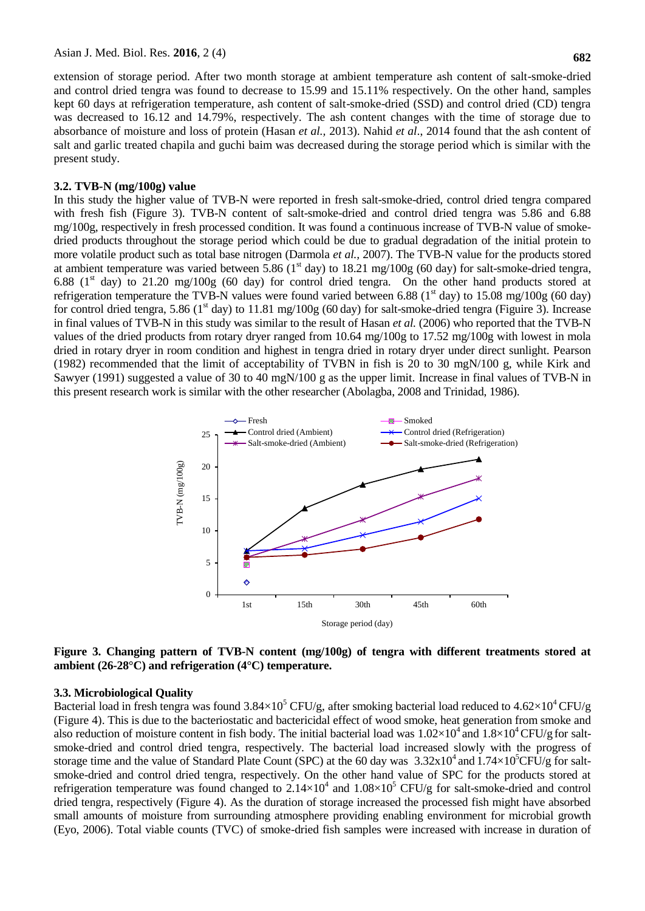extension of storage period. After two month storage at ambient temperature ash content of salt-smoke-dried and control dried tengra was found to decrease to 15.99 and 15.11% respectively. On the other hand, samples kept 60 days at refrigeration temperature, ash content of salt-smoke-dried (SSD) and control dried (CD) tengra was decreased to 16.12 and 14.79%, respectively. The ash content changes with the time of storage due to absorbance of moisture and loss of protein (Hasan *et al.,* 2013). Nahid *et al*., 2014 found that the ash content of salt and garlic treated chapila and guchi baim was decreased during the storage period which is similar with the present study.

#### **3.2. TVB-N (mg/100g) value**

In this study the higher value of TVB-N were reported in fresh salt-smoke-dried, control dried tengra compared with fresh fish (Figure 3). TVB-N content of salt-smoke-dried and control dried tengra was 5.86 and 6.88 mg/100g, respectively in fresh processed condition. It was found a continuous increase of TVB-N value of smokedried products throughout the storage period which could be due to gradual degradation of the initial protein to more volatile product such as total base nitrogen (Darmola *et al.,* 2007). The TVB-N value for the products stored at ambient temperature was varied between 5.86 ( $1<sup>st</sup>$  day) to 18.21 mg/100g (60 day) for salt-smoke-dried tengra, 6.88 ( $1<sup>st</sup>$  day) to 21.20 mg/100g (60 day) for control dried tengra. On the other hand products stored at refrigeration temperature the TVB-N values were found varied between 6.88 ( $1<sup>st</sup>$  day) to 15.08 mg/100g (60 day) for control dried tengra, 5.86 ( $1<sup>st</sup>$  day) to 11.81 mg/100g (60 day) for salt-smoke-dried tengra (Figuire 3). Increase in final values of TVB-N in this study was similar to the result of Hasan *et al.* (2006) who reported that the TVB-N values of the dried products from rotary dryer ranged from 10.64 mg/100g to 17.52 mg/100g with lowest in mola dried in rotary dryer in room condition and highest in tengra dried in rotary dryer under direct sunlight. Pearson (1982) recommended that the limit of acceptability of TVBN in fish is 20 to 30 mgN/100 g, while Kirk and Sawyer (1991) suggested a value of 30 to 40 mgN/100 g as the upper limit. Increase in final values of TVB-N in this present research work is similar with the other researcher (Abolagba, 2008 and Trinidad, 1986).



**Figure 3. Changing pattern of TVB-N content (mg/100g) of tengra with different treatments stored at ambient (26-28°C) and refrigeration (4°C) temperature.**

#### **3.3. Microbiological Quality**

Bacterial load in fresh tengra was found  $3.84\times10^5$  CFU/g, after smoking bacterial load reduced to  $4.62\times10^4$  CFU/g (Figure 4). This is due to the bacteriostatic and bactericidal effect of wood smoke, heat generation from smoke and also reduction of moisture content in fish body. The initial bacterial load was  $1.02\times10^4$  and  $1.8\times10^4$  CFU/g for saltsmoke-dried and control dried tengra, respectively. The bacterial load increased slowly with the progress of storage time and the value of Standard Plate Count (SPC) at the 60 day was  $3.32 \times 10^4$  and  $1.74 \times 10^5$ CFU/g for saltsmoke-dried and control dried tengra, respectively. On the other hand value of SPC for the products stored at refrigeration temperature was found changed to  $2.14 \times 10^4$  and  $1.08 \times 10^5$  CFU/g for salt-smoke-dried and control dried tengra, respectively (Figure 4). As the duration of storage increased the processed fish might have absorbed small amounts of moisture from surrounding atmosphere providing enabling environment for microbial growth (Eyo, 2006). Total viable counts (TVC) of smoke-dried fish samples were increased with increase in duration of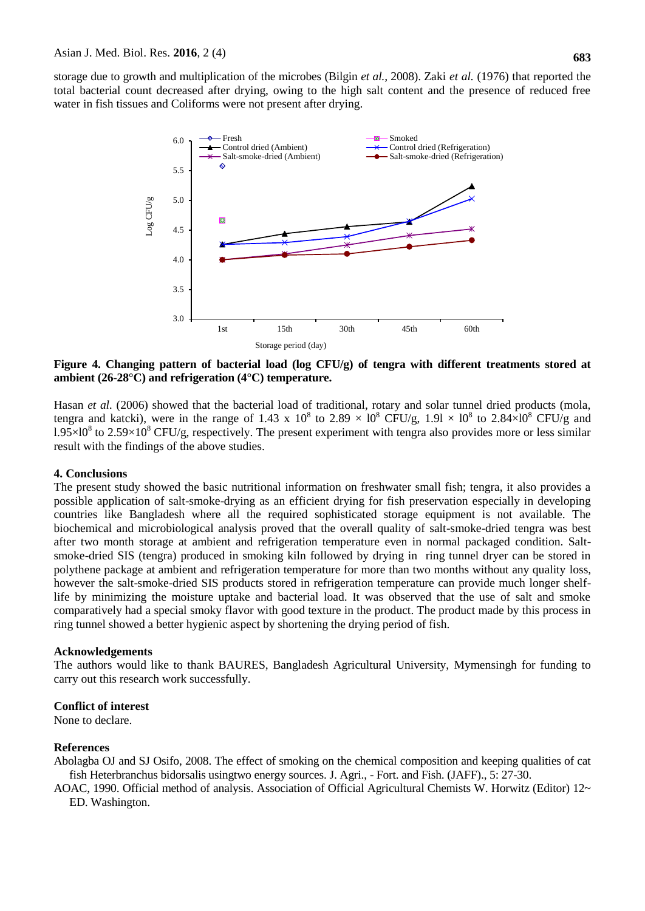storage due to growth and multiplication of the microbes (Bilgin *et al.,* 2008). Zaki *et al.* (1976) that reported the total bacterial count decreased after drying, owing to the high salt content and the presence of reduced free water in fish tissues and Coliforms were not present after drying.



**Figure 4. Changing pattern of bacterial load (log CFU/g) of tengra with different treatments stored at ambient (26-28°C) and refrigeration (4°C) temperature.**

Hasan *et al.* (2006) showed that the bacterial load of traditional, rotary and solar tunnel dried products (mola, tengra and katcki), were in the range of 1.43 x  $10^8$  to 2.89  $\times$  10<sup>8</sup> CFU/g, 1.91  $\times$  10<sup>8</sup> to 2.84 $\times$ 10<sup>8</sup> CFU/g and  $1.95 \times 10^8$  to 2.59 $\times 10^8$  CFU/g, respectively. The present experiment with tengra also provides more or less similar result with the findings of the above studies.

# **4. Conclusions**

The present study showed the basic nutritional information on freshwater small fish; tengra, it also provides a possible application of salt-smoke-drying as an efficient drying for fish preservation especially in developing countries like Bangladesh where all the required sophisticated storage equipment is not available. The biochemical and microbiological analysis proved that the overall quality of salt-smoke-dried tengra was best after two month storage at ambient and refrigeration temperature even in normal packaged condition. Saltsmoke-dried SIS (tengra) produced in smoking kiln followed by drying in ring tunnel dryer can be stored in polythene package at ambient and refrigeration temperature for more than two months without any quality loss, however the salt-smoke-dried SIS products stored in refrigeration temperature can provide much longer shelflife by minimizing the moisture uptake and bacterial load. It was observed that the use of salt and smoke comparatively had a special smoky flavor with good texture in the product. The product made by this process in ring tunnel showed a better hygienic aspect by shortening the drying period of fish.

#### **Acknowledgements**

The authors would like to thank BAURES, Bangladesh Agricultural University, Mymensingh for funding to carry out this research work successfully.

#### **Conflict of interest**

None to declare.

#### **References**

Abolagba OJ and SJ Osifo, 2008. The effect of smoking on the chemical composition and keeping qualities of cat fish Heterbranchus bidorsalis usingtwo energy sources. J. Agri., - Fort. and Fish. (JAFF)., 5: 27-30.

AOAC, 1990. Official method of analysis. Association of Official Agricultural Chemists W. Horwitz (Editor) 12~ ED. Washington.